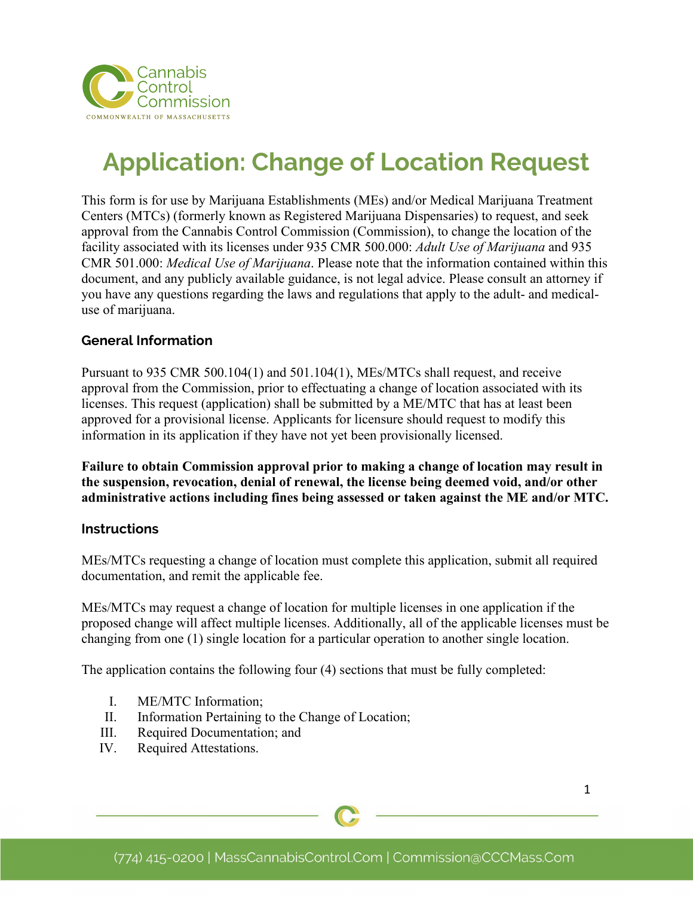

# **Application: Change of Location Request**

This form is for use by Marijuana Establishments (MEs) and/or Medical Marijuana Treatment Centers (MTCs) (formerly known as Registered Marijuana Dispensaries) to request, and seek approval from the Cannabis Control Commission (Commission), to change the location of the facility associated with its licenses under 935 CMR 500.000: *Adult Use of Marijuana* and 935 CMR 501.000: *Medical Use of Marijuana*. Please note that the information contained within this document, and any publicly available guidance, is not legal advice. Please consult an attorney if you have any questions regarding the laws and regulations that apply to the adult- and medicaluse of marijuana.

## **General Information**

Pursuant to 935 CMR 500.104(1) and 501.104(1), MEs/MTCs shall request, and receive approval from the Commission, prior to effectuating a change of location associated with its licenses. This request (application) shall be submitted by a ME/MTC that has at least been approved for a provisional license. Applicants for licensure should request to modify this information in its application if they have not yet been provisionally licensed.

**Failure to obtain Commission approval prior to making a change of location may result in the suspension, revocation, denial of renewal, the license being deemed void, and/or other administrative actions including fines being assessed or taken against the ME and/or MTC.**

## **Instructions**

MEs/MTCs requesting a change of location must complete this application, submit all required documentation, and remit the applicable fee.

MEs/MTCs may request a change of location for multiple licenses in one application if the proposed change will affect multiple licenses. Additionally, all of the applicable licenses must be changing from one (1) single location for a particular operation to another single location.

The application contains the following four (4) sections that must be fully completed:

- I. ME/MTC Information;
- II. Information Pertaining to the Change of Location;
- III. Required Documentation; and
- IV. Required Attestations.

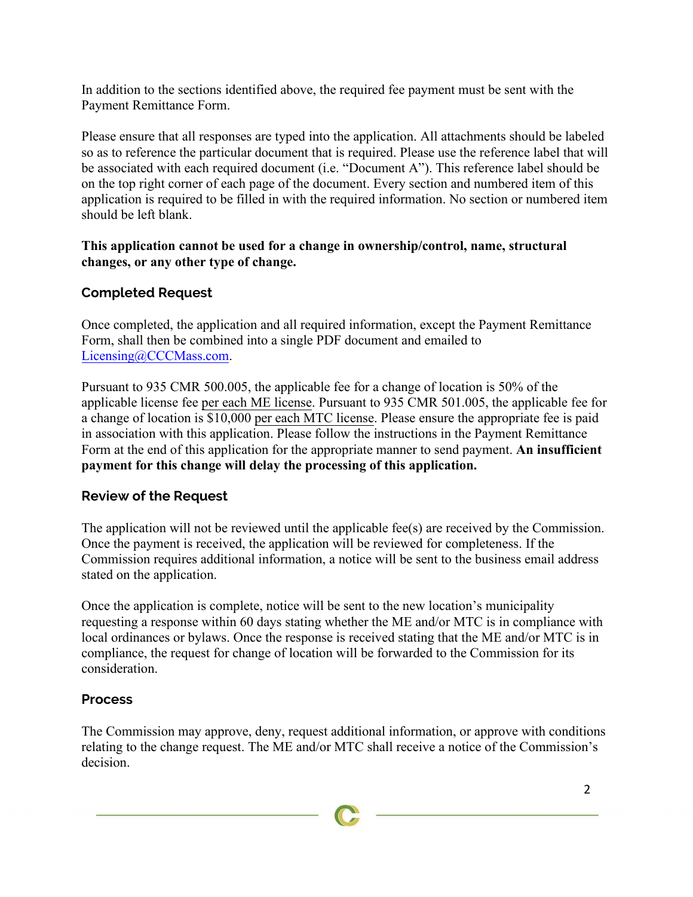In addition to the sections identified above, the required fee payment must be sent with the Payment Remittance Form.

Please ensure that all responses are typed into the application. All attachments should be labeled so as to reference the particular document that is required. Please use the reference label that will be associated with each required document (i.e. "Document A"). This reference label should be on the top right corner of each page of the document. Every section and numbered item of this application is required to be filled in with the required information. No section or numbered item should be left blank.

## **This application cannot be used for a change in ownership/control, name, structural changes, or any other type of change.**

# **Completed Request**

Once completed, the application and all required information, except the Payment Remittance Form, shall then be combined into a single PDF document and emailed to Licensing@CCCMass.com.

Pursuant to 935 CMR 500.005, the applicable fee for a change of location is 50% of the applicable license fee per each ME license. Pursuant to 935 CMR 501.005, the applicable fee for a change of location is \$10,000 per each MTC license. Please ensure the appropriate fee is paid in association with this application. Please follow the instructions in the Payment Remittance Form at the end of this application for the appropriate manner to send payment. **An insufficient payment for this change will delay the processing of this application.**

## **Review of the Request**

The application will not be reviewed until the applicable fee(s) are received by the Commission. Once the payment is received, the application will be reviewed for completeness. If the Commission requires additional information, a notice will be sent to the business email address stated on the application.

Once the application is complete, notice will be sent to the new location's municipality requesting a response within 60 days stating whether the ME and/or MTC is in compliance with local ordinances or bylaws. Once the response is received stating that the ME and/or MTC is in compliance, the request for change of location will be forwarded to the Commission for its consideration.

## **Process**

The Commission may approve, deny, request additional information, or approve with conditions relating to the change request. The ME and/or MTC shall receive a notice of the Commission's decision.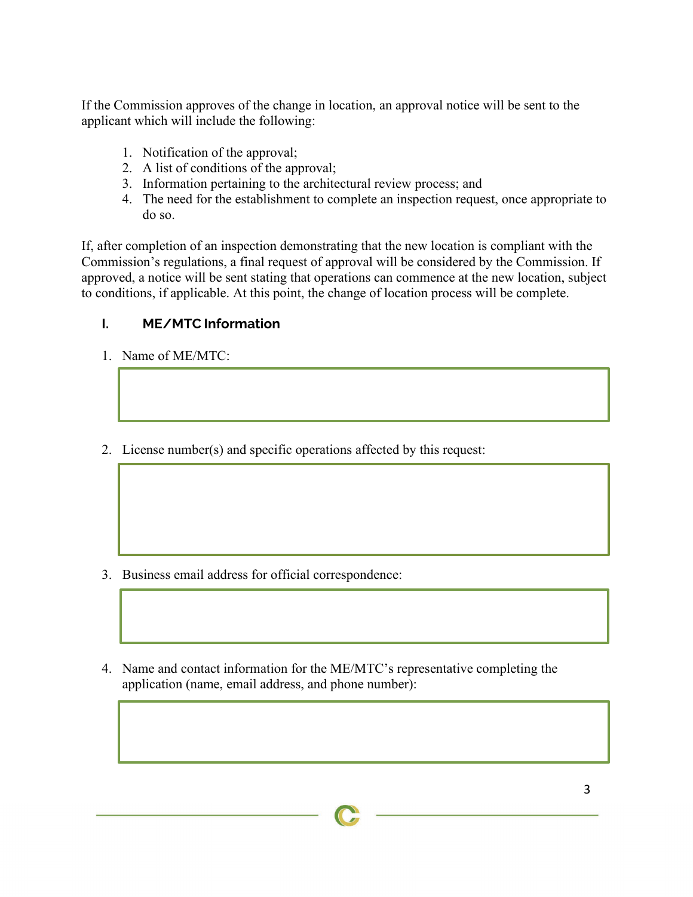If the Commission approves of the change in location, an approval notice will be sent to the applicant which will include the following:

- 1. Notification of the approval;
- 2. A list of conditions of the approval;
- 3. Information pertaining to the architectural review process; and
- 4. The need for the establishment to complete an inspection request, once appropriate to do so.

If, after completion of an inspection demonstrating that the new location is compliant with the Commission's regulations, a final request of approval will be considered by the Commission. If approved, a notice will be sent stating that operations can commence at the new location, subject to conditions, if applicable. At this point, the change of location process will be complete.

# **I. ME/MTC Information**

- 1. Name of ME/MTC:
- 2. License number(s) and specific operations affected by this request:

- 3. Business email address for official correspondence:
- 4. Name and contact information for the ME/MTC's representative completing the application (name, email address, and phone number):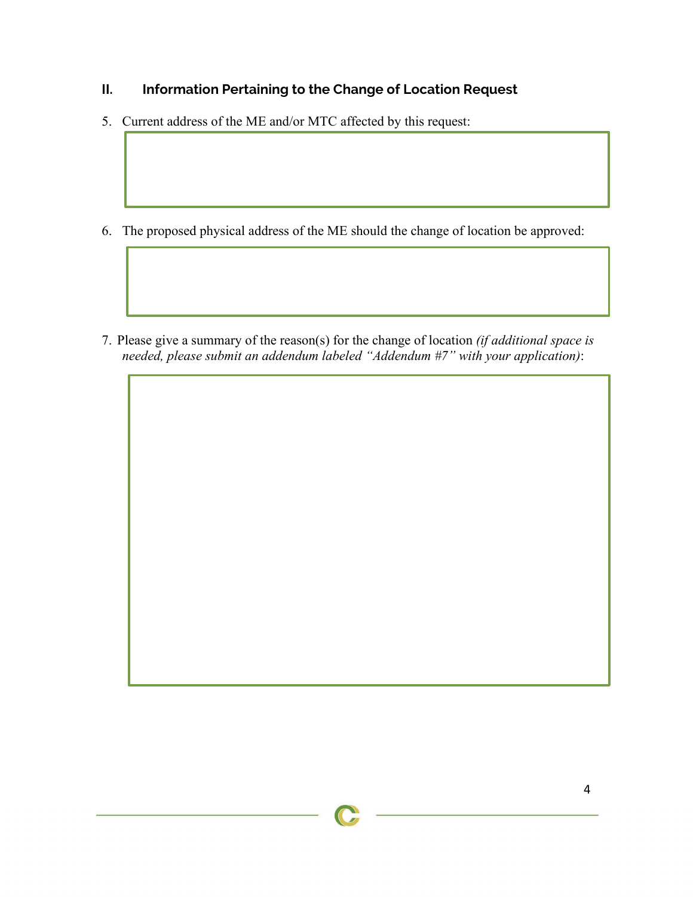# **II. Information Pertaining to the Change of Location Request**

5. Current address of the ME and/or MTC affected by this request:

6. The proposed physical address of the ME should the change of location be approved:

7. Please give a summary of the reason(s) for the change of location *(if additional space is needed, please submit an addendum labeled "Addendum #7" with your application)*: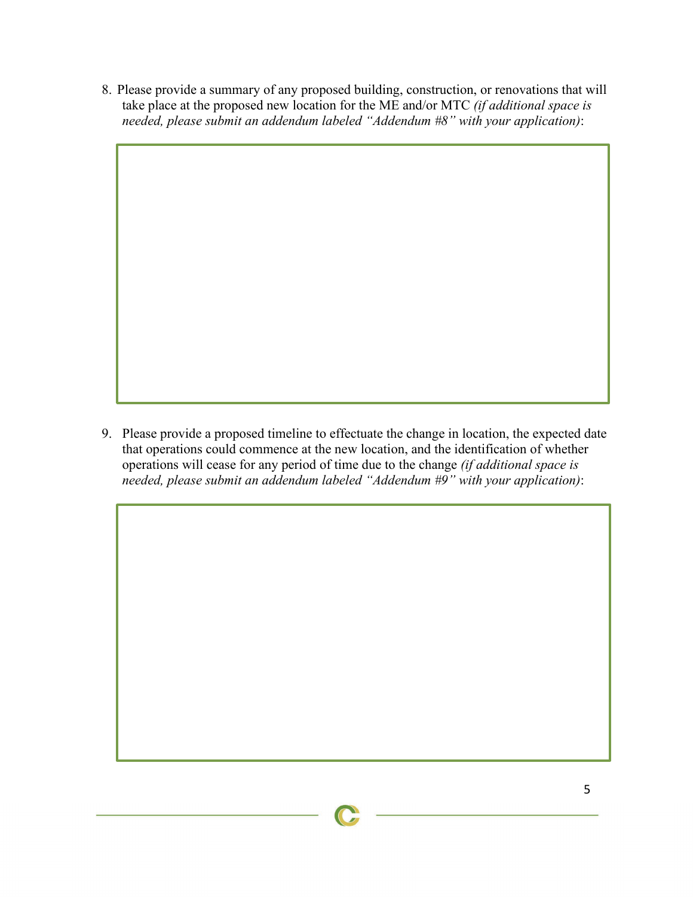8. Please provide a summary of any proposed building, construction, or renovations that will take place at the proposed new location for the ME and/or MTC *(if additional space is needed, please submit an addendum labeled "Addendum #8" with your application)*:

9. Please provide a proposed timeline to effectuate the change in location, the expected date that operations could commence at the new location, and the identification of whether operations will cease for any period of time due to the change *(if additional space is needed, please submit an addendum labeled "Addendum #9" with your application)*: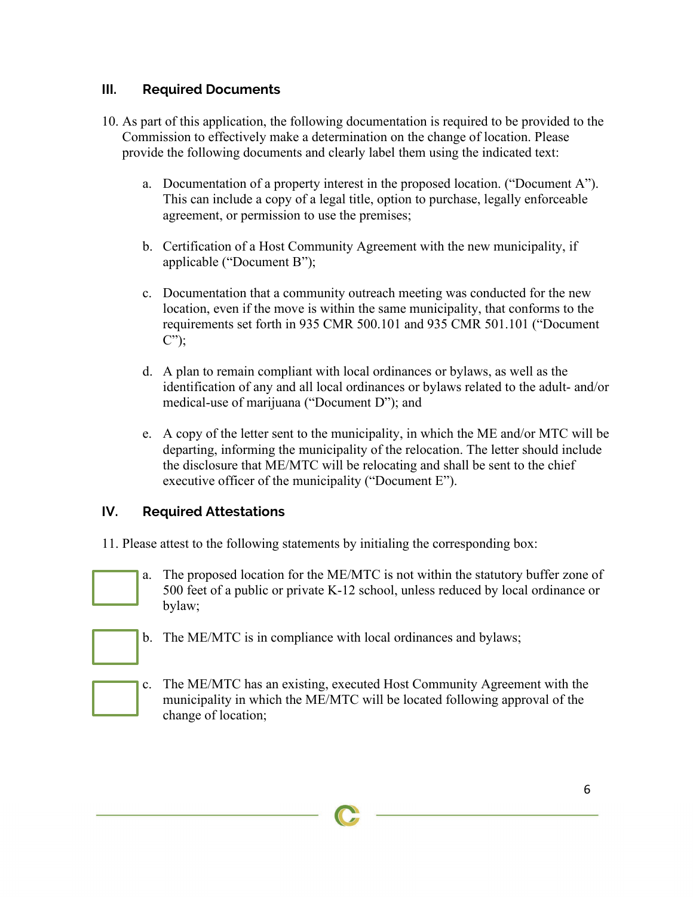## **III. Required Documents**

- 10. As part of this application, the following documentation is required to be provided to the Commission to effectively make a determination on the change of location. Please provide the following documents and clearly label them using the indicated text:
	- a. Documentation of a property interest in the proposed location. ("Document A"). This can include a copy of a legal title, option to purchase, legally enforceable agreement, or permission to use the premises;
	- b. Certification of a Host Community Agreement with the new municipality, if applicable ("Document B");
	- c. Documentation that a community outreach meeting was conducted for the new location, even if the move is within the same municipality, that conforms to the requirements set forth in 935 CMR 500.101 and 935 CMR 501.101 ("Document C");
	- d. A plan to remain compliant with local ordinances or bylaws, as well as the identification of any and all local ordinances or bylaws related to the adult- and/or medical-use of marijuana ("Document D"); and
	- e. A copy of the letter sent to the municipality, in which the ME and/or MTC will be departing, informing the municipality of the relocation. The letter should include the disclosure that ME/MTC will be relocating and shall be sent to the chief executive officer of the municipality ("Document E").

## **IV. Required Attestations**

- 11. Please attest to the following statements by initialing the corresponding box:
- 
- a. The proposed location for the ME/MTC is not within the statutory buffer zone of 500 feet of a public or private K-12 school, unless reduced by local ordinance or bylaw;



- b. The ME/MTC is in compliance with local ordinances and bylaws;
- c. The ME/MTC has an existing, executed Host Community Agreement with the municipality in which the ME/MTC will be located following approval of the change of location;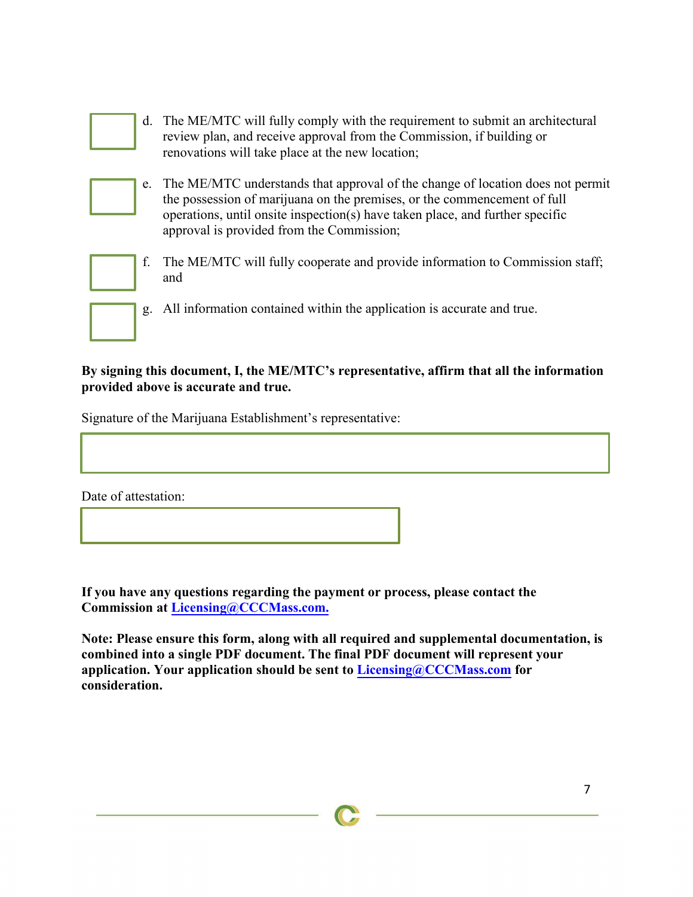|    | d. The ME/MTC will fully comply with the requirement to submit an architectural<br>review plan, and receive approval from the Commission, if building or<br>renovations will take place at the new location;                                                                             |
|----|------------------------------------------------------------------------------------------------------------------------------------------------------------------------------------------------------------------------------------------------------------------------------------------|
| e. | The ME/MTC understands that approval of the change of location does not permit<br>the possession of marijuana on the premises, or the commencement of full<br>operations, until onsite inspection(s) have taken place, and further specific<br>approval is provided from the Commission; |
| f. | The ME/MTC will fully cooperate and provide information to Commission staff;<br>and                                                                                                                                                                                                      |
| g. | All information contained within the application is accurate and true.                                                                                                                                                                                                                   |

## **By signing this document, I, the ME/MTC's representative, affirm that all the information provided above is accurate and true.**

Signature of the Marijuana Establishment's representative:

Date of attestation:

**If you have any questions regarding the payment or process, please contact the Commission at Licensing@CCCMass.com.**

**Note: Please ensure this form, along with all required and supplemental documentation, is combined into a single PDF document. The final PDF document will represent your application. Your application should be sent to L[icensing@](mailto:licensing@cccmass.com)CCCMass.com for consideration.**